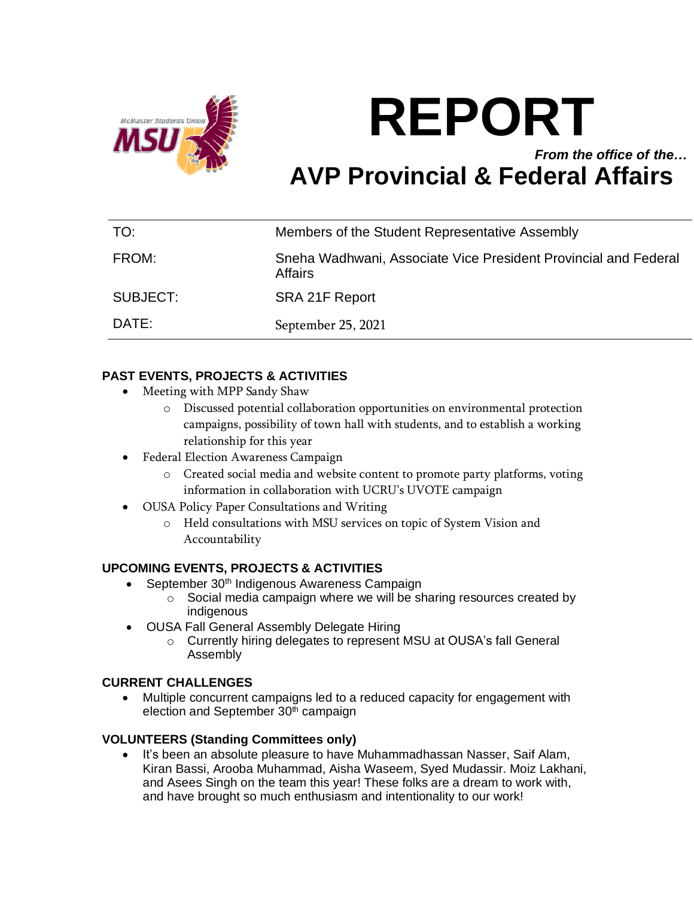

# **REPORT** *From the office of the…* **AVP Provincial & Federal Affairs**

| TO:      | Members of the Student Representative Assembly                             |
|----------|----------------------------------------------------------------------------|
| FROM:    | Sneha Wadhwani, Associate Vice President Provincial and Federal<br>Affairs |
| SUBJECT: | SRA 21F Report                                                             |
| DATE:    | September 25, 2021                                                         |

## **PAST EVENTS, PROJECTS & ACTIVITIES**

- Meeting with MPP Sandy Shaw
	- o Discussed potential collaboration opportunities on environmental protection campaigns, possibility of town hall with students, and to establish a working relationship for this year
- Federal Election Awareness Campaign
	- o Created social media and website content to promote party platforms, voting information in collaboration with UCRU's UVOTE campaign
- OUSA Policy Paper Consultations and Writing
	- o Held consultations with MSU services on topic of System Vision and Accountability

### **UPCOMING EVENTS, PROJECTS & ACTIVITIES**

- September 30<sup>th</sup> Indigenous Awareness Campaign
	- o Social media campaign where we will be sharing resources created by indigenous
- OUSA Fall General Assembly Delegate Hiring
	- o Currently hiring delegates to represent MSU at OUSA's fall General Assembly

### **CURRENT CHALLENGES**

• Multiple concurrent campaigns led to a reduced capacity for engagement with election and September 30<sup>th</sup> campaign

### **VOLUNTEERS (Standing Committees only)**

It's been an absolute pleasure to have Muhammadhassan Nasser, Saif Alam, Kiran Bassi, Arooba Muhammad, Aisha Waseem, Syed Mudassir. Moiz Lakhani, and Asees Singh on the team this year! These folks are a dream to work with, and have brought so much enthusiasm and intentionality to our work!